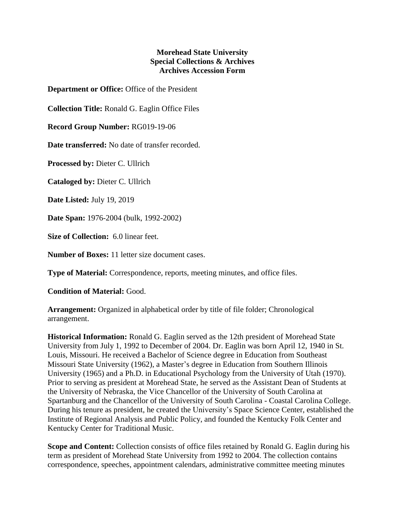## **Morehead State University Special Collections & Archives Archives Accession Form**

**Department or Office:** Office of the President

**Collection Title:** Ronald G. Eaglin Office Files

**Record Group Number:** RG019-19-06

**Date transferred:** No date of transfer recorded.

**Processed by:** Dieter C. Ullrich

**Cataloged by:** Dieter C. Ullrich

**Date Listed:** July 19, 2019

**Date Span:** 1976-2004 (bulk, 1992-2002)

**Size of Collection:** 6.0 linear feet.

**Number of Boxes:** 11 letter size document cases.

**Type of Material:** Correspondence, reports, meeting minutes, and office files.

**Condition of Material:** Good.

**Arrangement:** Organized in alphabetical order by title of file folder; Chronological arrangement.

**Historical Information:** Ronald G. Eaglin served as the 12th president of Morehead State University from July 1, 1992 to December of 2004. Dr. Eaglin was born April 12, 1940 in St. Louis, Missouri. He received a Bachelor of Science degree in Education from Southeast Missouri State University (1962), a Master's degree in Education from Southern Illinois University (1965) and a Ph.D. in Educational Psychology from the University of Utah (1970). Prior to serving as president at Morehead State, he served as the Assistant Dean of Students at the University of Nebraska, the Vice Chancellor of the University of South Carolina at Spartanburg and the Chancellor of the University of South Carolina - Coastal Carolina College. During his tenure as president, he created the University's Space Science Center, established the Institute of Regional Analysis and Public Policy, and founded the Kentucky Folk Center and Kentucky Center for Traditional Music.

**Scope and Content:** Collection consists of office files retained by Ronald G. Eaglin during his term as president of Morehead State University from 1992 to 2004. The collection contains correspondence, speeches, appointment calendars, administrative committee meeting minutes